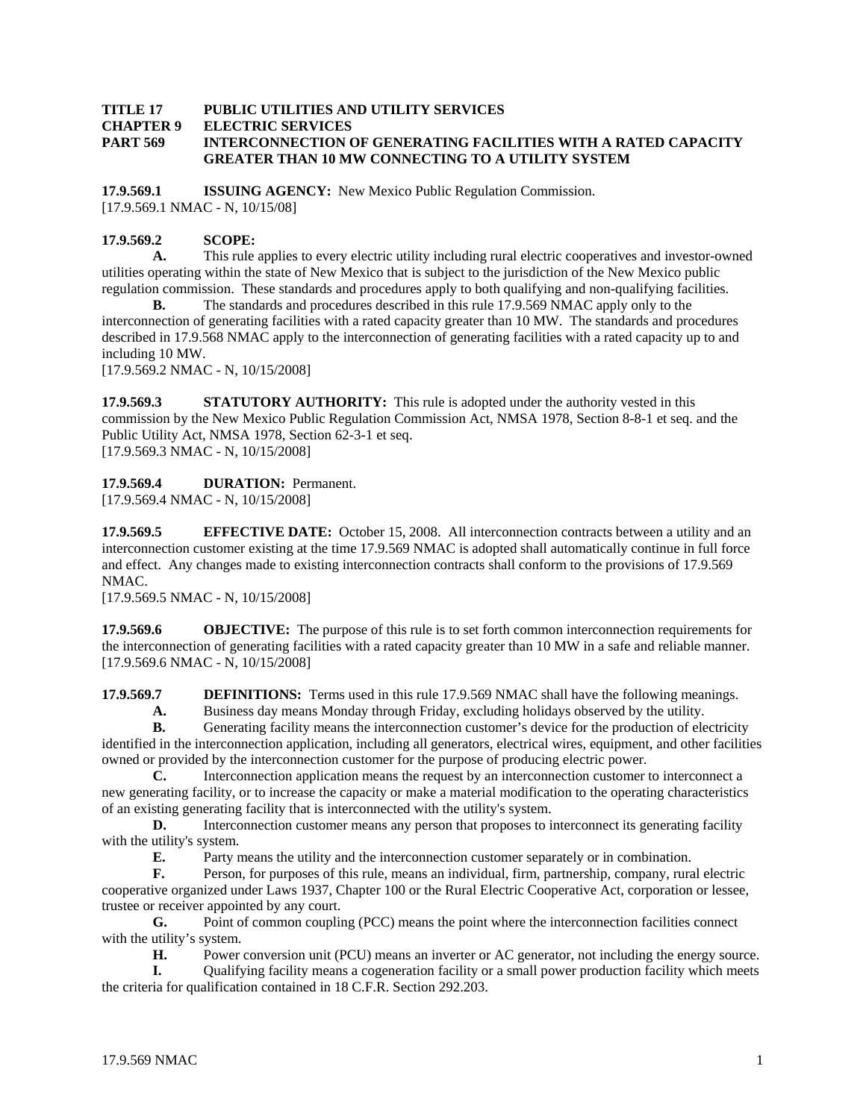## **TITLE 17 PUBLIC UTILITIES AND UTILITY SERVICES CHAPTER 9 ELECTRIC SERVICES PART 569 INTERCONNECTION OF GENERATING FACILITIES WITH A RATED CAPACITY GREATER THAN 10 MW CONNECTING TO A UTILITY SYSTEM**

**17.9.569.1 ISSUING AGENCY:** New Mexico Public Regulation Commission. [17.9.569.1 NMAC - N, 10/15/08]

## **17.9.569.2 SCOPE:**

**A.** This rule applies to every electric utility including rural electric cooperatives and investor-owned utilities operating within the state of New Mexico that is subject to the jurisdiction of the New Mexico public regulation commission. These standards and procedures apply to both qualifying and non-qualifying facilities.

**B.** The standards and procedures described in this rule 17.9.569 NMAC apply only to the interconnection of generating facilities with a rated capacity greater than 10 MW. The standards and procedures described in 17.9.568 NMAC apply to the interconnection of generating facilities with a rated capacity up to and including 10 MW.

[17.9.569.2 NMAC - N, 10/15/2008]

**17.9.569.3** STATUTORY AUTHORITY: This rule is adopted under the authority vested in this commission by the New Mexico Public Regulation Commission Act, NMSA 1978, Section 8-8-1 et seq. and the Public Utility Act, NMSA 1978, Section 62-3-1 et seq. [17.9.569.3 NMAC - N, 10/15/2008]

## **17.9.569.4 DURATION:** Permanent.

[17.9.569.4 NMAC - N, 10/15/2008]

**17.9.569.5 EFFECTIVE DATE:** October 15, 2008. All interconnection contracts between a utility and an interconnection customer existing at the time 17.9.569 NMAC is adopted shall automatically continue in full force and effect. Any changes made to existing interconnection contracts shall conform to the provisions of 17.9.569 NMAC.

[17.9.569.5 NMAC - N, 10/15/2008]

**17.9.569.6 OBJECTIVE:** The purpose of this rule is to set forth common interconnection requirements for the interconnection of generating facilities with a rated capacity greater than 10 MW in a safe and reliable manner. [17.9.569.6 NMAC - N, 10/15/2008]

**17.9.569.7 DEFINITIONS:** Terms used in this rule 17.9.569 NMAC shall have the following meanings.

 **A.** Business day means Monday through Friday, excluding holidays observed by the utility.

**B.** Generating facility means the interconnection customer's device for the production of electricity identified in the interconnection application, including all generators, electrical wires, equipment, and other facilities owned or provided by the interconnection customer for the purpose of producing electric power.

**C.** Interconnection application means the request by an interconnection customer to interconnect a new generating facility, or to increase the capacity or make a material modification to the operating characteristics of an existing generating facility that is interconnected with the utility's system.

**D.** Interconnection customer means any person that proposes to interconnect its generating facility with the utility's system.

**E.** Party means the utility and the interconnection customer separately or in combination.

**F.** Person, for purposes of this rule, means an individual, firm, partnership, company, rural electric cooperative organized under Laws 1937, Chapter 100 or the Rural Electric Cooperative Act, corporation or lessee, trustee or receiver appointed by any court.

**G.** Point of common coupling (PCC) means the point where the interconnection facilities connect with the utility's system.

**H.** Power conversion unit (PCU) means an inverter or AC generator, not including the energy source.

**I.** Qualifying facility means a cogeneration facility or a small power production facility which meets the criteria for qualification contained in 18 C.F.R. Section 292.203.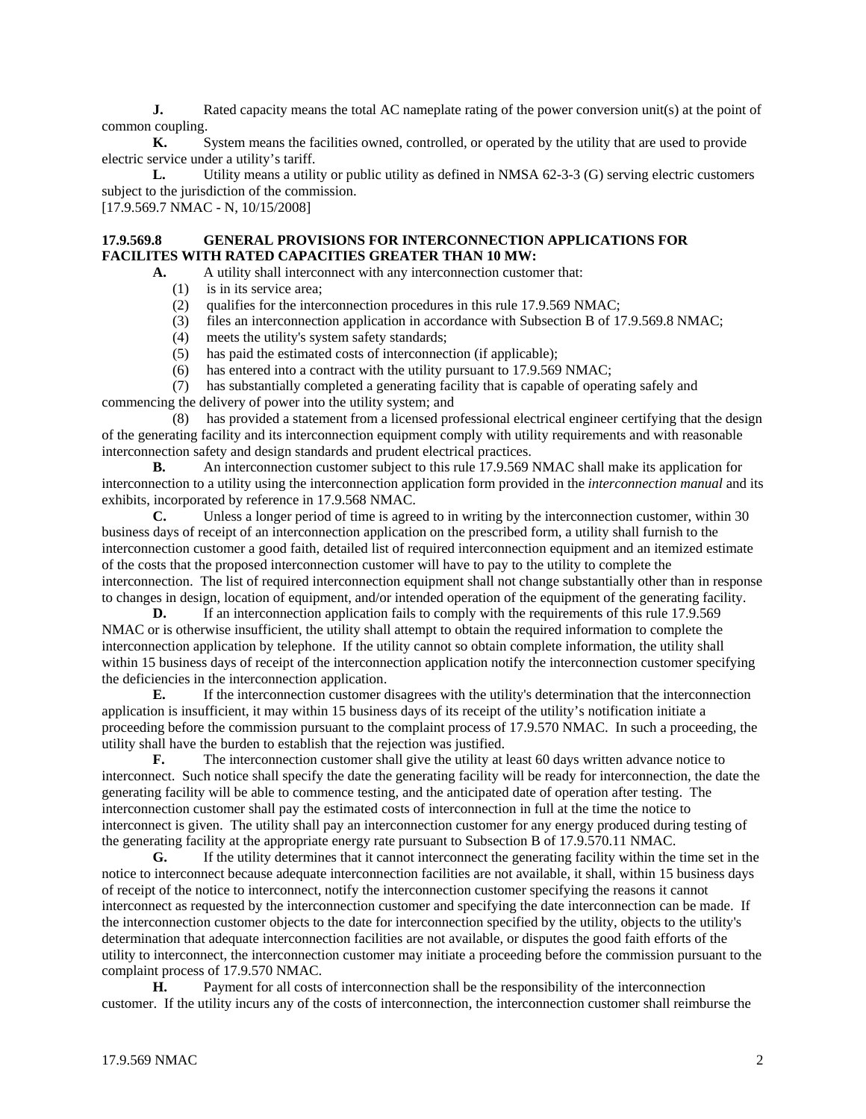**J.** Rated capacity means the total AC nameplate rating of the power conversion unit(s) at the point of common coupling.

**K.** System means the facilities owned, controlled, or operated by the utility that are used to provide electric service under a utility's tariff.

**L.** Utility means a utility or public utility as defined in NMSA 62-3-3 (G) serving electric customers subject to the jurisdiction of the commission.

[17.9.569.7 NMAC - N, 10/15/2008]

## **17.9.569.8 GENERAL PROVISIONS FOR INTERCONNECTION APPLICATIONS FOR FACILITES WITH RATED CAPACITIES GREATER THAN 10 MW:**

- A. A utility shall interconnect with any interconnection customer that:
	- (1) is in its service area;
	- (2) qualifies for the interconnection procedures in this rule 17.9.569 NMAC;
	- (3) files an interconnection application in accordance with Subsection B of 17.9.569.8 NMAC;
	- (4) meets the utility's system safety standards;
	- (5) has paid the estimated costs of interconnection (if applicable);
	- (6) has entered into a contract with the utility pursuant to 17.9.569 NMAC;

 (7) has substantially completed a generating facility that is capable of operating safely and commencing the delivery of power into the utility system; and

 (8) has provided a statement from a licensed professional electrical engineer certifying that the design of the generating facility and its interconnection equipment comply with utility requirements and with reasonable interconnection safety and design standards and prudent electrical practices.

**B.** An interconnection customer subject to this rule 17.9.569 NMAC shall make its application for interconnection to a utility using the interconnection application form provided in the *interconnection manual* and its exhibits, incorporated by reference in 17.9.568 NMAC.

 **C.** Unless a longer period of time is agreed to in writing by the interconnection customer, within 30 business days of receipt of an interconnection application on the prescribed form, a utility shall furnish to the interconnection customer a good faith, detailed list of required interconnection equipment and an itemized estimate of the costs that the proposed interconnection customer will have to pay to the utility to complete the interconnection. The list of required interconnection equipment shall not change substantially other than in response to changes in design, location of equipment, and/or intended operation of the equipment of the generating facility.

**D.** If an interconnection application fails to comply with the requirements of this rule 17.9.569 NMAC or is otherwise insufficient, the utility shall attempt to obtain the required information to complete the interconnection application by telephone. If the utility cannot so obtain complete information, the utility shall within 15 business days of receipt of the interconnection application notify the interconnection customer specifying the deficiencies in the interconnection application.

**E.** If the interconnection customer disagrees with the utility's determination that the interconnection application is insufficient, it may within 15 business days of its receipt of the utility's notification initiate a proceeding before the commission pursuant to the complaint process of 17.9.570 NMAC. In such a proceeding, the utility shall have the burden to establish that the rejection was justified.

**F.** The interconnection customer shall give the utility at least 60 days written advance notice to interconnect. Such notice shall specify the date the generating facility will be ready for interconnection, the date the generating facility will be able to commence testing, and the anticipated date of operation after testing. The interconnection customer shall pay the estimated costs of interconnection in full at the time the notice to interconnect is given. The utility shall pay an interconnection customer for any energy produced during testing of the generating facility at the appropriate energy rate pursuant to Subsection B of 17.9.570.11 NMAC.

 **G.** If the utility determines that it cannot interconnect the generating facility within the time set in the notice to interconnect because adequate interconnection facilities are not available, it shall, within 15 business days of receipt of the notice to interconnect, notify the interconnection customer specifying the reasons it cannot interconnect as requested by the interconnection customer and specifying the date interconnection can be made. If the interconnection customer objects to the date for interconnection specified by the utility, objects to the utility's determination that adequate interconnection facilities are not available, or disputes the good faith efforts of the utility to interconnect, the interconnection customer may initiate a proceeding before the commission pursuant to the complaint process of 17.9.570 NMAC.

**H.** Payment for all costs of interconnection shall be the responsibility of the interconnection customer. If the utility incurs any of the costs of interconnection, the interconnection customer shall reimburse the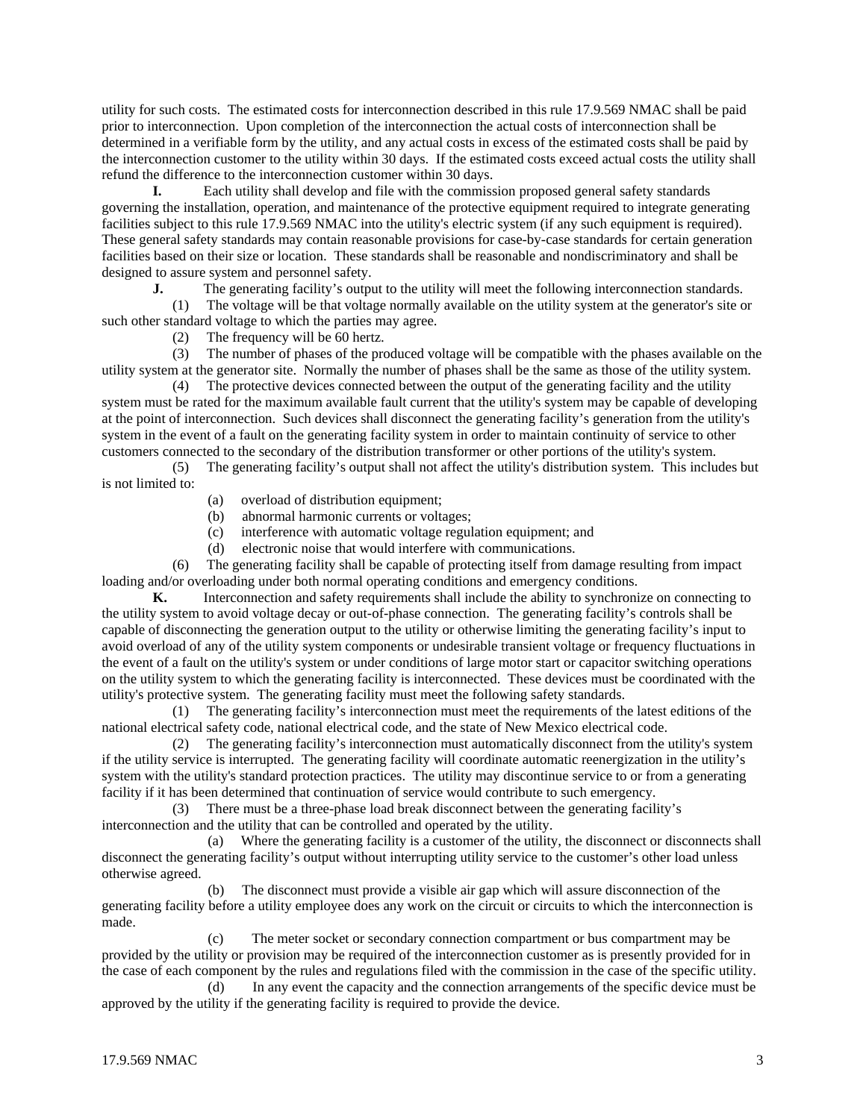utility for such costs. The estimated costs for interconnection described in this rule 17.9.569 NMAC shall be paid prior to interconnection. Upon completion of the interconnection the actual costs of interconnection shall be determined in a verifiable form by the utility, and any actual costs in excess of the estimated costs shall be paid by the interconnection customer to the utility within 30 days. If the estimated costs exceed actual costs the utility shall refund the difference to the interconnection customer within 30 days.

**I.** Each utility shall develop and file with the commission proposed general safety standards governing the installation, operation, and maintenance of the protective equipment required to integrate generating facilities subject to this rule 17.9.569 NMAC into the utility's electric system (if any such equipment is required). These general safety standards may contain reasonable provisions for case-by-case standards for certain generation facilities based on their size or location. These standards shall be reasonable and nondiscriminatory and shall be designed to assure system and personnel safety.<br> **J.** The generating facility's outno

The generating facility's output to the utility will meet the following interconnection standards.

 (1) The voltage will be that voltage normally available on the utility system at the generator's site or such other standard voltage to which the parties may agree.

(2) The frequency will be 60 hertz.

 (3) The number of phases of the produced voltage will be compatible with the phases available on the utility system at the generator site. Normally the number of phases shall be the same as those of the utility system.

 (4) The protective devices connected between the output of the generating facility and the utility system must be rated for the maximum available fault current that the utility's system may be capable of developing at the point of interconnection. Such devices shall disconnect the generating facility's generation from the utility's system in the event of a fault on the generating facility system in order to maintain continuity of service to other customers connected to the secondary of the distribution transformer or other portions of the utility's system.

 (5) The generating facility's output shall not affect the utility's distribution system. This includes but is not limited to:

- (a) overload of distribution equipment;
- (b) abnormal harmonic currents or voltages;
- (c) interference with automatic voltage regulation equipment; and
- (d) electronic noise that would interfere with communications.

 (6) The generating facility shall be capable of protecting itself from damage resulting from impact loading and/or overloading under both normal operating conditions and emergency conditions.

**K.** Interconnection and safety requirements shall include the ability to synchronize on connecting to the utility system to avoid voltage decay or out-of-phase connection. The generating facility's controls shall be capable of disconnecting the generation output to the utility or otherwise limiting the generating facility's input to avoid overload of any of the utility system components or undesirable transient voltage or frequency fluctuations in the event of a fault on the utility's system or under conditions of large motor start or capacitor switching operations on the utility system to which the generating facility is interconnected. These devices must be coordinated with the utility's protective system. The generating facility must meet the following safety standards.

 (1) The generating facility's interconnection must meet the requirements of the latest editions of the national electrical safety code, national electrical code, and the state of New Mexico electrical code.

 (2) The generating facility's interconnection must automatically disconnect from the utility's system if the utility service is interrupted. The generating facility will coordinate automatic reenergization in the utility's system with the utility's standard protection practices. The utility may discontinue service to or from a generating facility if it has been determined that continuation of service would contribute to such emergency.

 (3) There must be a three-phase load break disconnect between the generating facility's interconnection and the utility that can be controlled and operated by the utility.

 (a) Where the generating facility is a customer of the utility, the disconnect or disconnects shall disconnect the generating facility's output without interrupting utility service to the customer's other load unless otherwise agreed.

 (b) The disconnect must provide a visible air gap which will assure disconnection of the generating facility before a utility employee does any work on the circuit or circuits to which the interconnection is made.

 (c) The meter socket or secondary connection compartment or bus compartment may be provided by the utility or provision may be required of the interconnection customer as is presently provided for in the case of each component by the rules and regulations filed with the commission in the case of the specific utility.

 (d) In any event the capacity and the connection arrangements of the specific device must be approved by the utility if the generating facility is required to provide the device.